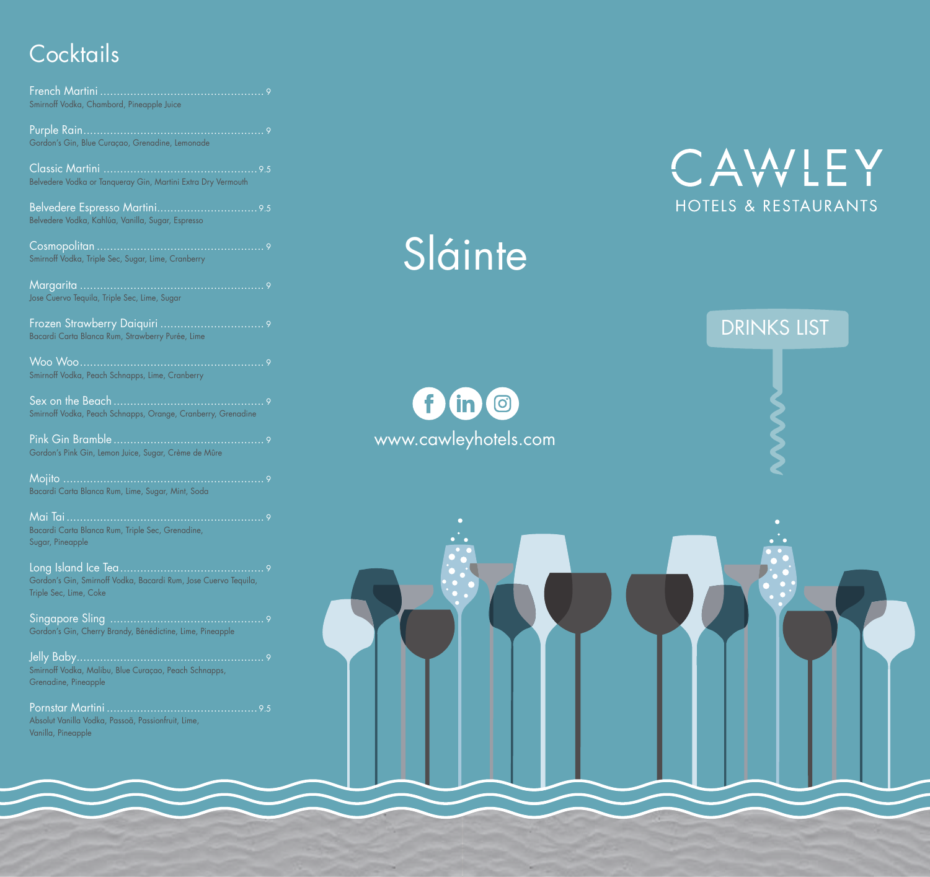## **Cocktails**

French Martini ................................................. 9 Smirnoff Vodka, Chambord, Pineapple Juice

Purple Rain...................................................... 9 Gordon's Gin, Blue Curaçao, Grenadine, Lemonade

Classic Martini .............................................. 9.5 Belvedere Vodka or Tanqueray Gin, Martini Extra Dry Vermouth

Belvedere Espresso Martini.............................. 9.5 Belvedere Vodka, Kahlúa, Vanilla, Sugar, Espresso

Cosmopolitan .................................................. 9 Smirnoff Vodka, Triple Sec, Sugar, Lime, Cranberry

Margarita ....................................................... 9 Jose Cuervo Tequila, Triple Sec, Lime, Sugar

Frozen Strawberry Daiquiri ............................... 9 Bacardi Carta Blanca Rum, Strawberry Purée, Lime

Woo Woo....................................................... 9 Smirnoff Vodka, Peach Schnapps, Lime, Cranberry

Sex on the Beach ............................................. 9 Smirnoff Vodka, Peach Schnapps, Orange, Cranberry, Grenadine

Pink Gin Bramble ............................................. 9 Gordon's Pink Gin, Lemon Juice, Sugar, Crème de Mûre

Mojito ............................................................ 9 Bacardi Carta Blanca Rum, Lime, Sugar, Mint, Soda

Mai Tai........................................................... 9 Bacardi Carta Blanca Rum, Triple Sec, Grenadine, Sugar, Pineapple

Long Island Ice Tea........................................... 9 Gordon's Gin, Smirnoff Vodka, Bacardi Rum, Jose Cuervo Tequila, Triple Sec, Lime, Coke

Singapore Sling .............................................. 9 Gordon's Gin, Cherry Brandy, Bénédictine, Lime, Pineapple

Jelly Baby........................................................ 9 Smirnoff Vodka, Malibu, Blue Curaçao, Peach Schnapps, Grenadine, Pineapple

Pornstar Martini ............................................. 9.5 Absolut Vanilla Vodka, Passoã, Passionfruit, Lime, Vanilla, Pineapple

# Sláinte

 $f$  (in  $\odot$ www.cawleyhotels.com



DRINKS LIST